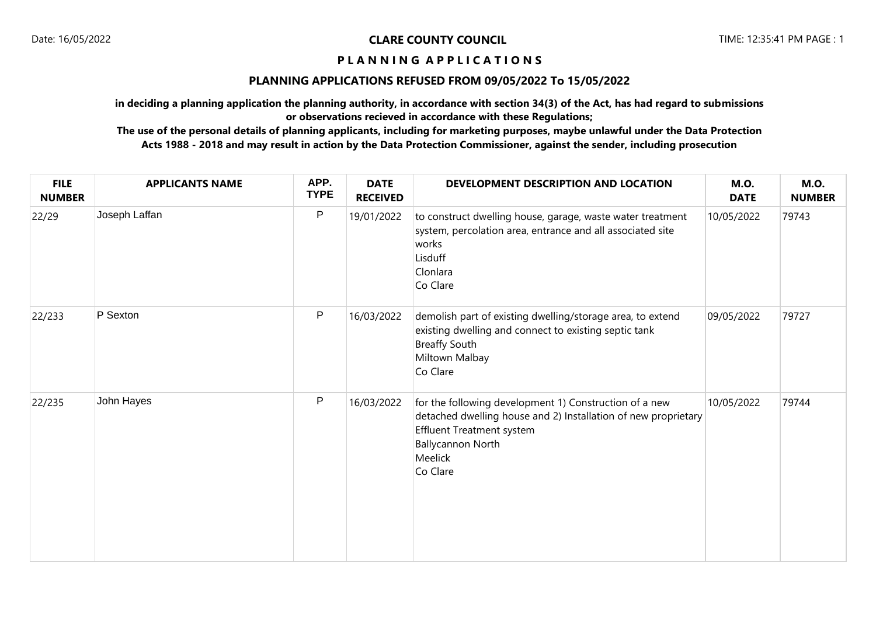# **P L A N N I N G A P P L I C A T I O N S**

## **PLANNING APPLICATIONS REFUSED FROM 09/05/2022 To 15/05/2022**

**in deciding a planning application the planning authority, in accordance with section 34(3) of the Act, has had regard to submissions or observations recieved in accordance with these Regulations;**

**The use of the personal details of planning applicants, including for marketing purposes, maybe unlawful under the Data Protection Acts 1988 - 2018 and may result in action by the Data Protection Commissioner, against the sender, including prosecution**

| <b>FILE</b><br><b>NUMBER</b> | <b>APPLICANTS NAME</b> | APP.<br><b>TYPE</b> | <b>DATE</b><br><b>RECEIVED</b> | DEVELOPMENT DESCRIPTION AND LOCATION                                                                                                                                                                            | <b>M.O.</b><br><b>DATE</b> | <b>M.O.</b><br><b>NUMBER</b> |
|------------------------------|------------------------|---------------------|--------------------------------|-----------------------------------------------------------------------------------------------------------------------------------------------------------------------------------------------------------------|----------------------------|------------------------------|
| 22/29                        | Joseph Laffan          | P                   | 19/01/2022                     | to construct dwelling house, garage, waste water treatment<br>system, percolation area, entrance and all associated site<br>works<br>Lisduff<br>Clonlara<br>Co Clare                                            | 10/05/2022                 | 79743                        |
| 22/233                       | P Sexton               | ${\sf P}$           | 16/03/2022                     | demolish part of existing dwelling/storage area, to extend<br>existing dwelling and connect to existing septic tank<br><b>Breaffy South</b><br>Miltown Malbay<br>Co Clare                                       | 09/05/2022                 | 79727                        |
| 22/235                       | John Hayes             | P                   | 16/03/2022                     | for the following development 1) Construction of a new<br>detached dwelling house and 2) Installation of new proprietary<br><b>Effluent Treatment system</b><br><b>Ballycannon North</b><br>Meelick<br>Co Clare | 10/05/2022                 | 79744                        |